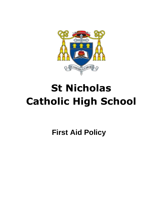

# **St Nicholas Catholic High School**

**First Aid Policy**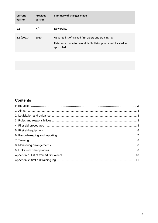| <b>Current</b><br>version | <b>Previous</b><br>version | <b>Summary of changes made</b>                                                                                                       |
|---------------------------|----------------------------|--------------------------------------------------------------------------------------------------------------------------------------|
| 1.1                       | N/A                        | New policy                                                                                                                           |
| 2.1(2021)                 | 2020                       | Updated list of trained first aiders and training log<br>Reference made to second defibrillator purchased, located in<br>sports hall |
|                           |                            |                                                                                                                                      |
|                           |                            |                                                                                                                                      |
|                           |                            |                                                                                                                                      |

### **Contents**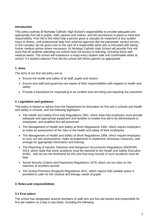#### **Introduction**

This policy outlines St Nicholas Catholic High School's responsibility to provide adequate and appropriate first aid to pupils, staff, parents and visitors, and the procedures in place to meet that responsibility. First Aid is the initial help a person gives a casualty for treatment of any sudden injury or illness, until professional help from external agencies like the paramedic service arrives, or the casualty can be given over to the care of a responsible adult who is entrusted with taking further medical advice where necessary. St Nicholas Catholic High School will provide First Aid such that all students attending our school have full access to learning, including those with medical needs. The school will endeavour to keep every student safe and comfortable whilst at school. If a student requires First Aid the school will inform parents as appropriate

#### **1. Aims**

The aims of our first aid policy are to:

- Ensure the health and safety of all staff, pupils and visitors
- Ensure that staff and governors are aware of their responsibilities with regards to health and safety
- Provide a framework for responding to an incident and recording and reporting the outcomes

#### **2. Legislation and guidance**

This policy is based on advice from the Department for Education on [first aid in schools](https://www.gov.uk/government/publications/first-aid-in-schools) and [health](https://www.gov.uk/government/publications/health-and-safety-advice-for-schools)  [and safety in schools,](https://www.gov.uk/government/publications/health-and-safety-advice-for-schools) and the following legislation:

- [The Health and Safety \(First Aid\) Regulations 1981,](http://www.legislation.gov.uk/uksi/1981/917/regulation/3/made) which state that employers must provide adequate and appropriate equipment and facilities to enable first aid to be administered to employees, and qualified first aid personnel
- [The Management of Health and Safety at Work](http://www.legislation.gov.uk/uksi/1992/2051/regulation/3/made) Regulations 1992, which require employers to make an assessment of the risks to the health and safety of their employees
- [The Management of Health and Safety at Work Regulations 1999,](http://www.legislation.gov.uk/uksi/1999/3242/contents/made) which require employers to carry out risk assessments, make arrangements to implement necessary measures, and arrange for appropriate information and training
- [The Reporting of Injuries, Diseases and Dangerous Occurrences Regulations](http://www.legislation.gov.uk/uksi/2013/1471/schedule/1/paragraph/1/made) (RIDDOR) [2013,](http://www.legislation.gov.uk/uksi/2013/1471/schedule/1/paragraph/1/made) which state that some accidents must be reported to the Health and Safety Executive (HSE), and set out the timeframe for this and how long records of such accidents must be kept
- [Social Security \(Claims and Payments\) Regulations 1979,](http://www.legislation.gov.uk/uksi/1979/628) which set out rules on the retention of accident records
- [The School Premises \(England\) Regulations 2012,](http://www.legislation.gov.uk/uksi/2012/1943/regulation/5/made) which require that suitable space is provided to cater for the medical and therapy needs of pupils

#### **3. Roles and responsibilities**

#### **3.1 First aiders**

The school has designated several members of staff who are first aid trained and responsible for first aid matters on a day to day basis, including the following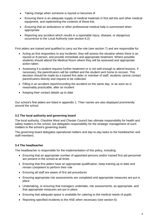- Taking charge when someone is injured or becomes ill
- Ensuring there is an adequate supply of medical materials in first aid kits and other medical equipment, and replenishing the contents of these kits
- Ensuring that an ambulance or other professional medical help is summoned when appropriate
- Reporting any accident which results in a reportable injury, disease, or dangerous occurrence to the Local Authority (see section 6.2)

First aiders are trained and qualified to carry out the role (see section 7) and are responsible for:

- Acting as first responders to any incidents; they will assess the situation where there is an injured or ill person, and provide immediate and appropriate treatment. Where possible students should attend the Medical Room where they will be assessed and appropriate action taken.
- Assessing if a student requires further treatment or is not well enough to attend lessons, if necessary, the parent/carers will be notified and the student sent home to recover. This decision should be made by a trained first aider or member of staff, students cannot contact parent/carers directly and request to be collected.
- Filling in an accident report/recording the accident on the same day, or as soon as is reasonably practicable, after an incident
- Keeping their contact details up to date

Our school's first aiders are listed in appendix 1. Their names are also displayed prominently around the school.

#### **3.2 The local authority and governing board**

The local authority, Cheshire West and Chester Council has ultimate responsibility for health and safety matters in the school, but delegates responsibility for the strategic management of such matters to the school's governing board.

The governing board delegates operational matters and day-to-day tasks to the headteacher and staff members.

#### **3.4 The headteacher**

The headteacher is responsible for the implementation of this policy, including:

- Ensuring that an appropriate number of appointed persons and/or trained first aid personnel are present in the school at all times
- Ensuring that first aiders have an appropriate qualification, keep training up to date and remain competent to perform their role
- Ensuring all staff are aware of first aid procedures
- Ensuring appropriate risk assessments are completed and appropriate measures are put in place
- Undertaking, or ensuring that managers undertake, risk assessments, as appropriate, and that appropriate measures are put in place
- Ensuring that adequate space is available for catering to the medical needs of pupils
- Reporting specified incidents to the HSE when necessary (see section 6)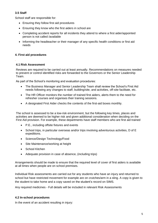#### **3.5 Staff**

*.*

School staff are responsible for:

- Ensuring they follow first aid procedures
- Ensuring they know who the first aiders in school are
- Completing accident reports for all incidents they attend to where a first aider/appointed person is not called /available
- Informing the headteacher or their manager of any specific health conditions or first aid needs

#### **4. First aid procedures**

#### **4.1 Risk Assessment**

Reviews are required to be carried out at least annually. Recommendations on measures needed to prevent or control identified risks are forwarded to the Governors or the Senior Leadership Team.

As part of the School's monitoring and evaluation procedures:

- The Business Manager and Senior Leadership Team shall review the School's First Aid needs following any changes to staff, building/site, and activities, off-site facilitate, etc.
- The HR Officer monitors the number of trained first aiders, alerts them to the need for refresher courses and organises their training sessions.
- A designated First Aider checks the contents of the first-aid boxes monthly.

The school is assessed to be a low-risk environment, but the following key times, places and activities are deemed to be higher risk and given additional consideration when deciding on the First Aid provision. For example, these departments have staff members who are first aid trained

- P.E., including offsite fixtures and events
- School trips, in particular overseas and/or trips involving adventurous activities, D of E expeditions.
- Science/Design Technology/Food
- Site Maintenance/working at height
- School Kitchen
- Adequate provision in case of absence, (including trips)

Arrangements should be made to ensure that the required level of cover of first aiders is available at all times when people are on school premises.

Individual Risk assessments are carried out for any students who have an injury and returned to school but have restricted movement for example are on crutches/arm in a sling. A copy is given to the student to take home and a copy saved on the student's record on SIMS.

Any required medicines - Full details will be included in relevant Risk Assessments

#### **4.2 In-school procedures**

In the event of an accident resulting in injury: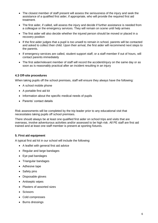- The closest member of staff present will assess the seriousness of the injury and seek the assistance of a qualified first aider, if appropriate, who will provide the required first aid treatment.
- The first aider, if called, will assess the injury and decide if further assistance is needed from a colleague or the emergency services. They will remain on scene until help arrives
- The first aider will also decide whether the injured person should be moved or placed in a recovery position
- If the first aider judges that a pupil is too unwell to remain in school, parents will be contacted and asked to collect their child. Upon their arrival, the first aider will recommend next steps to the parents.
- If emergency services are called, student support staff, or a staff member if out of hours, will contact parents immediately
- The first aider/relevant member of staff will record the accident/injury on the same day or as soon as is reasonably practical after an incident resulting in an injury

#### **4.3 Off-site procedures**

When taking pupils off the school premises, staff will ensure they always have the following:

- A school mobile phone
- A portable first aid kit
- Information about the specific medical needs of pupils
- Parents' contact details

Risk assessments will be completed by the trip leader prior to any educational visit that necessitates taking pupils off school premises.

There should always be at least one qualified first aider on school trips and visits that are overseas, involve adventurous activities and/or assessed to be high risk. All PE staff are first aid trained and at least one staff member is present at sporting fixtures.

#### **5. First aid equipment**

A typical first aid kit in our school will include the following:

- A leaflet with general first aid advice
- Regular and large bandages
- Eve pad bandages
- Triangular bandages
- Adhesive tape
- Safety pins
- Disposable gloves
- Antiseptic wipes
- Plasters of assorted sizes
- Scissors
- Cold compresses
- Burns dressings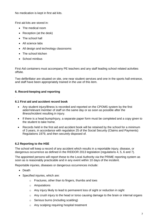No medication is kept in first aid kits.

First aid kits are stored in:

- The medical room
- Reception (at the desk)
- The school hall
- All science labs
- All design and technology classrooms
- The school kitchen
- School minibus

*.*

First Aid containers must accompany PE teachers and any staff leading school related activities offsite.

Two defibrillator are situated on site, one near student services and one in the sports hall entrance, and staff have been appropriately trained in the use of this item.

#### **6. Record-keeping and reporting**

#### **6.1 First aid and accident record book**

- Any student injury/illness is recorded and reported on the CPOMS system by the first aider/relevant member of staff on the same day or as soon as possible after the illness/incident resulting in injury.
- If there is a head bump/injury, a separate paper form must be completed and a copy given to the student to take home.
- Records held in the first aid and accident book will be retained by the school for a minimum of 3 years, in accordance with regulation 25 of the Social Security (Claims and Payments) Regulations 1979, and then securely disposed of.

#### **6.2 Reporting to the HSE**

The school will keep a record of any accident which results in a reportable injury, disease, or dangerous occurrence as defined in the RIDDOR 2013 legislation (regulations 4, 5, 6 and 7).

The appointed persons will report these to the Local Authority via the PRIME reporting system as soon as is reasonably practicable and in any event within 10 days of the incident.

Reportable injuries, diseases or dangerous occurrences include:

- Death
- Specified injuries, which are:
	- o Fractures, other than to fingers, thumbs and toes
	- o Amputations
	- o Any injury likely to lead to permanent loss of sight or reduction in sight
	- o Any crush injury to the head or torso causing damage to the brain or internal organs
	- o Serious burns (including scalding)
	- o Any scalping requiring hospital treatment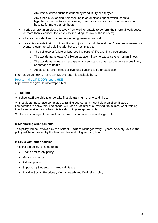- o Any loss of consciousness caused by head injury or asphyxia
- $\circ$  Any other injury arising from working in an enclosed space which leads to hypothermia or heat-induced illness, or requires resuscitation or admittance to hospital for more than 24 hours
- Injuries where an employee is away from work or unable to perform their normal work duties for more than 7 consecutive days (not including the day of the incident)
- Where an accident leads to someone being taken to hospital
- Near-miss events that do not result in an injury, but could have done. Examples of near-miss events relevant to schools include, but are not limited to:
	- o The collapse or failure of load-bearing parts of lifts and lifting equipment
	- o The accidental release of a biological agent likely to cause severe human illness
	- $\circ$  The accidental release or escape of any substance that may cause a serious injury or damage to health
	- o An electrical short circuit or overload causing a fire or explosion

Information on how to make a RIDDOR report is available here:

[How to make a RIDDOR report, HSE](http://www.hse.gov.uk/riddor/report.htm) http://www.hse.gov.uk/riddor/report.htm

#### **7. Training**

All school staff are able to undertake first aid training if they would like to.

All first aiders must have completed a training course, and must hold a valid certificate of competence to show this. The school will keep a register of all trained first aiders, what training they have received and when this is valid until (see appendix 3).

Staff are encouraged to renew their first aid training when it is no longer valid.

#### **8. Monitoring arrangements**

This policy will be reviewed by the School Business Manager every 2 years. At every review, the policy will be approved by the headteacher and full governing board.

#### **9. Links with other policies**

This first aid policy is linked to the

- Health and safety policy
- Medicines policy
- Asthma policy
- Supporting Students with Medical Needs
- Positive Social, Emotional, Mental Health and Wellbeing policy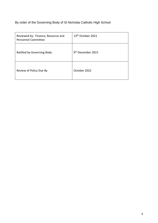## By order of the Governing Body of St Nicholas Catholic High School

| Reviewed by: Finance, Resource and<br><b>Personnel Committee</b> | 13 <sup>th</sup> October 2021 |
|------------------------------------------------------------------|-------------------------------|
| Ratified by Governing Body                                       | 9 <sup>th</sup> December 2021 |
| Review of Policy Due By                                          | October 2022                  |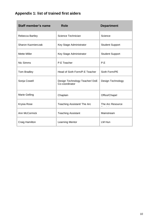# **Appendix 1: list of trained first aiders**

| <b>Staff member's name</b> | <b>Role</b>                                     | <b>Department</b>      |
|----------------------------|-------------------------------------------------|------------------------|
| Rebecca Bartley            | Science Technician                              | Science                |
| Sharon Kazmierczak         | Key Stage Administrator                         | <b>Student Support</b> |
| <b>Mette Miller</b>        | Key Stage Administrator                         | <b>Student Support</b> |
| Nic Simms                  | P.E Teacher                                     | P.E                    |
| Tom Bradley                | Head of Sixth Form/P.E Teacher                  | Sixth Form/PE          |
| Sonja Cowell               | Design Technology Teacher/DoE<br>Co-coordinator | Design Technology      |
| <b>Marie Gelling</b>       | Chaplain                                        | Office/Chapel          |
| Krysia Rose                | Teaching Assistant/ The Arc                     | The Arc Resource       |
| Ann McCormick              | <b>Teaching Assistant</b>                       | Mainstream             |
| Craig Hamilton             | Learning Mentor                                 | LM Hun                 |